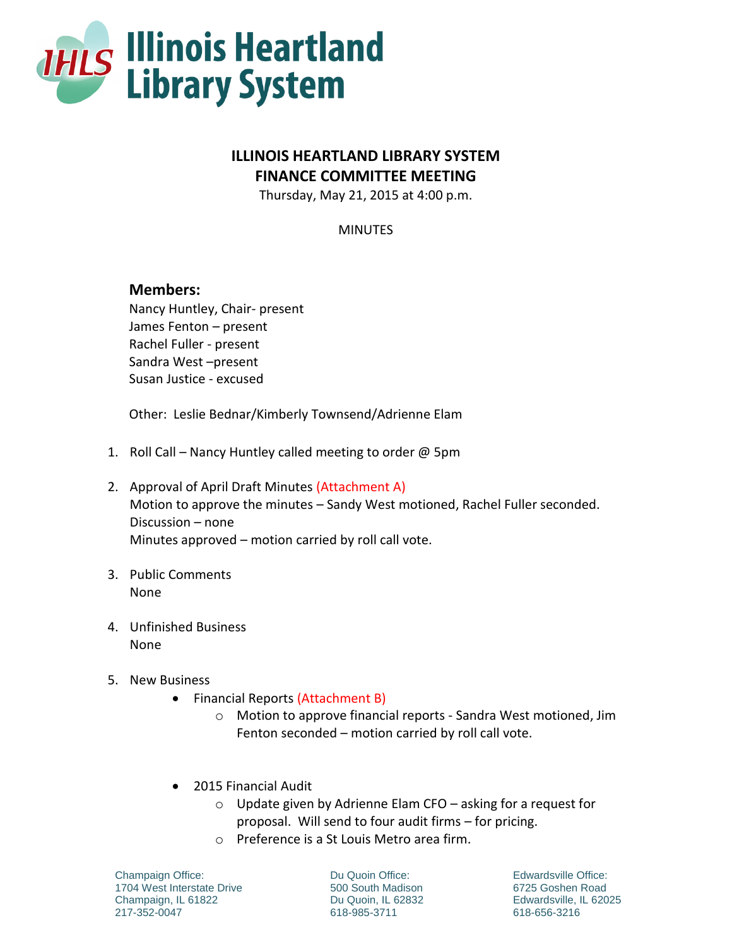

## **ILLINOIS HEARTLAND LIBRARY SYSTEM FINANCE COMMITTEE MEETING**

Thursday, May 21, 2015 at 4:00 p.m.

MINUTES

## **Members:**

Nancy Huntley, Chair- present James Fenton – present Rachel Fuller - present Sandra West –present Susan Justice - excused

Other: Leslie Bednar/Kimberly Townsend/Adrienne Elam

- 1. Roll Call Nancy Huntley called meeting to order @ 5pm
- 2. Approval of April Draft Minutes (Attachment A) Motion to approve the minutes – Sandy West motioned, Rachel Fuller seconded. Discussion – none Minutes approved – motion carried by roll call vote.
- 3. Public Comments None
- 4. Unfinished Business None
- 5. New Business
	- Financial Reports (Attachment B)
		- o Motion to approve financial reports Sandra West motioned, Jim Fenton seconded – motion carried by roll call vote.
	- 2015 Financial Audit
		- o Update given by Adrienne Elam CFO asking for a request for proposal. Will send to four audit firms – for pricing.
		- o Preference is a St Louis Metro area firm.

Champaign Office: 1704 West Interstate Drive Champaign, IL 61822 217-352-0047

Du Quoin Office: 500 South Madison Du Quoin, IL 62832 618-985-3711

Edwardsville Office: 6725 Goshen Road Edwardsville, IL 62025 618-656-3216